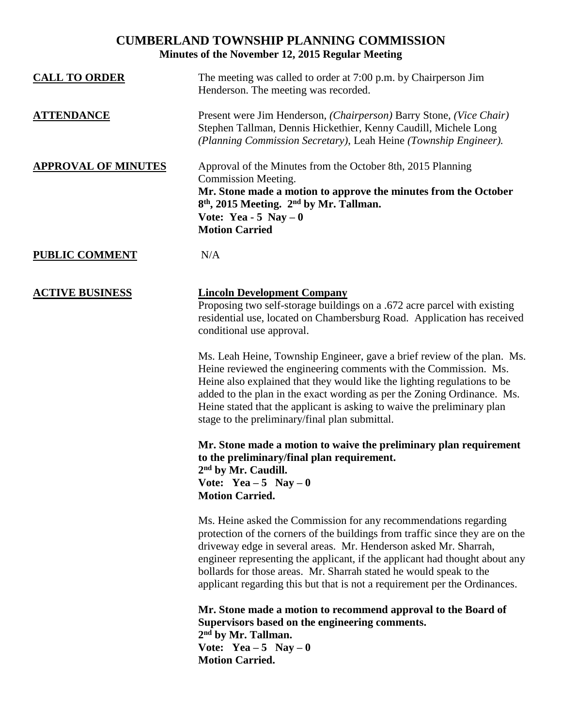## **CUMBERLAND TOWNSHIP PLANNING COMMISSION Minutes of the November 12, 2015 Regular Meeting**

| <b>CALL TO ORDER</b>       | The meeting was called to order at 7:00 p.m. by Chairperson Jim<br>Henderson. The meeting was recorded.                                                                                                                                                                                                                                                                                                                                                  |
|----------------------------|----------------------------------------------------------------------------------------------------------------------------------------------------------------------------------------------------------------------------------------------------------------------------------------------------------------------------------------------------------------------------------------------------------------------------------------------------------|
| <b>ATTENDANCE</b>          | Present were Jim Henderson, (Chairperson) Barry Stone, (Vice Chair)<br>Stephen Tallman, Dennis Hickethier, Kenny Caudill, Michele Long<br>(Planning Commission Secretary), Leah Heine (Township Engineer).                                                                                                                                                                                                                                               |
| <b>APPROVAL OF MINUTES</b> | Approval of the Minutes from the October 8th, 2015 Planning<br>Commission Meeting.<br>Mr. Stone made a motion to approve the minutes from the October<br>8 <sup>th</sup> , 2015 Meeting. 2 <sup>nd</sup> by Mr. Tallman.<br>Vote: Yea - 5 Nay $-0$<br><b>Motion Carried</b>                                                                                                                                                                              |
| <b>PUBLIC COMMENT</b>      | N/A                                                                                                                                                                                                                                                                                                                                                                                                                                                      |
| <b>ACTIVE BUSINESS</b>     | <b>Lincoln Development Company</b><br>Proposing two self-storage buildings on a .672 acre parcel with existing<br>residential use, located on Chambersburg Road. Application has received<br>conditional use approval.                                                                                                                                                                                                                                   |
|                            | Ms. Leah Heine, Township Engineer, gave a brief review of the plan. Ms.<br>Heine reviewed the engineering comments with the Commission. Ms.<br>Heine also explained that they would like the lighting regulations to be<br>added to the plan in the exact wording as per the Zoning Ordinance. Ms.<br>Heine stated that the applicant is asking to waive the preliminary plan<br>stage to the preliminary/final plan submittal.                          |
|                            | Mr. Stone made a motion to waive the preliminary plan requirement<br>to the preliminary/final plan requirement.<br>$2nd$ by Mr. Caudill.<br>Vote: Yea $-5$ Nay $-0$<br><b>Motion Carried.</b>                                                                                                                                                                                                                                                            |
|                            | Ms. Heine asked the Commission for any recommendations regarding<br>protection of the corners of the buildings from traffic since they are on the<br>driveway edge in several areas. Mr. Henderson asked Mr. Sharrah,<br>engineer representing the applicant, if the applicant had thought about any<br>bollards for those areas. Mr. Sharrah stated he would speak to the<br>applicant regarding this but that is not a requirement per the Ordinances. |
|                            | Mr. Stone made a motion to recommend approval to the Board of<br>Supervisors based on the engineering comments.<br>2 <sup>nd</sup> by Mr. Tallman.<br>Vote: Yea - 5 Nay - 0<br><b>Motion Carried.</b>                                                                                                                                                                                                                                                    |